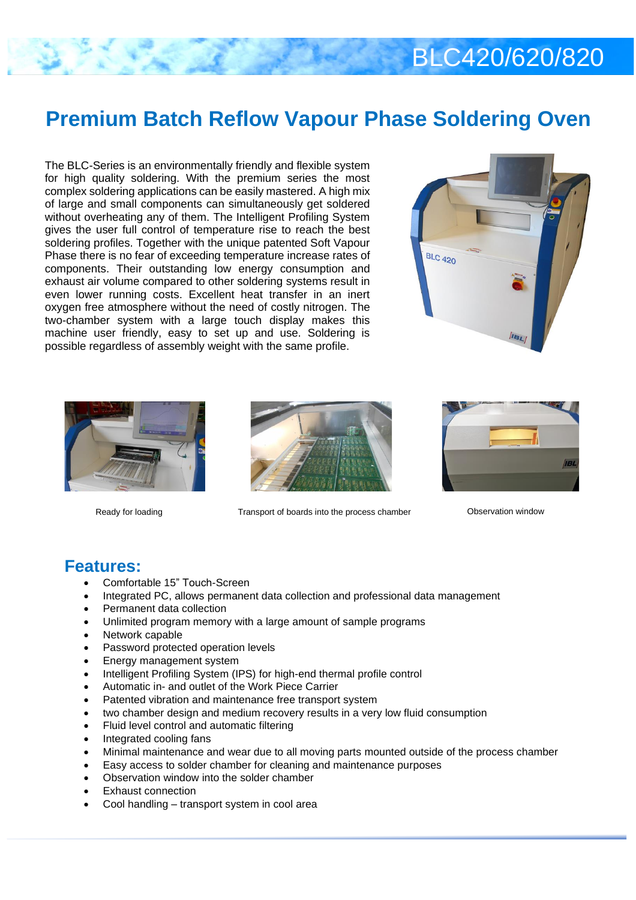# $S<sub>0</sub>$ **Premium Batch Reflow Vapour Phase Soldering Oven**

The BLC-Series is an environmentally friendly and flexible system for high quality soldering. With the premium series the most complex soldering applications can be easily mastered. A high mix of large and small components can simultaneously get soldered without overheating any of them. The Intelligent Profiling System gives the user full control of temperature rise to reach the best soldering profiles. Together with the unique patented Soft Vapour Phase there is no fear of exceeding temperature increase rates of components. Their outstanding low energy consumption and exhaust air volume compared to other soldering systems result in even lower running costs. Excellent heat transfer in an inert oxygen free atmosphere without the need of costly nitrogen. The two-chamber system with a large touch display makes this machine user friendly, easy to set up and use. Soldering is possible regardless of assembly weight with the same profile.







Ready for loading Transport of boards into the process chamber Cheen and Observation window



### **Features:**

- Comfortable 15" Touch-Screen
- Integrated PC, allows permanent data collection and professional data management
- Permanent data collection
- Unlimited program memory with a large amount of sample programs
- Network capable
- Password protected operation levels
- Energy management system
- Intelligent Profiling System (IPS) for high-end thermal profile control
- Automatic in- and outlet of the Work Piece Carrier
- Patented vibration and maintenance free transport system
- two chamber design and medium recovery results in a very low fluid consumption
- Fluid level control and automatic filtering
- Integrated cooling fans
- Minimal maintenance and wear due to all moving parts mounted outside of the process chamber
- Easy access to solder chamber for cleaning and maintenance purposes
- Observation window into the solder chamber
- Exhaust connection
- Cool handling transport system in cool area